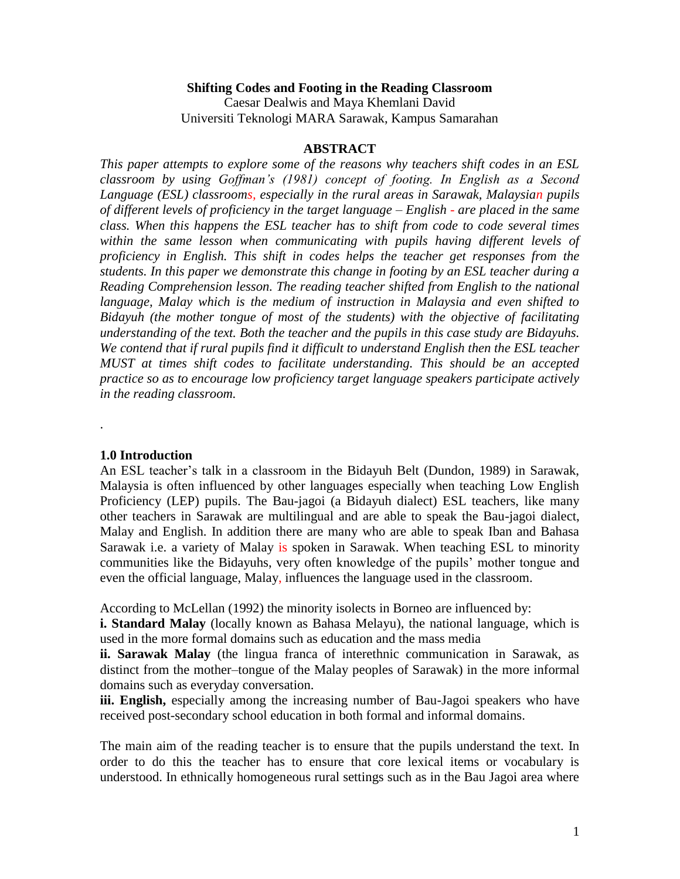#### **Shifting Codes and Footing in the Reading Classroom**

Caesar Dealwis and Maya Khemlani David Universiti Teknologi MARA Sarawak, Kampus Samarahan

#### **ABSTRACT**

*This paper attempts to explore some of the reasons why teachers shift codes in an ESL classroom by using Goffman's (1981) concept of footing. In English as a Second Language (ESL) classrooms, especially in the rural areas in Sarawak, Malaysian pupils of different levels of proficiency in the target language – English - are placed in the same class. When this happens the ESL teacher has to shift from code to code several times within the same lesson when communicating with pupils having different levels of proficiency in English. This shift in codes helps the teacher get responses from the students. In this paper we demonstrate this change in footing by an ESL teacher during a Reading Comprehension lesson. The reading teacher shifted from English to the national language, Malay which is the medium of instruction in Malaysia and even shifted to Bidayuh (the mother tongue of most of the students) with the objective of facilitating understanding of the text. Both the teacher and the pupils in this case study are Bidayuhs. We contend that if rural pupils find it difficult to understand English then the ESL teacher MUST at times shift codes to facilitate understanding. This should be an accepted practice so as to encourage low proficiency target language speakers participate actively in the reading classroom.*

#### **1.0 Introduction**

.

An ESL teacher's talk in a classroom in the Bidayuh Belt (Dundon, 1989) in Sarawak, Malaysia is often influenced by other languages especially when teaching Low English Proficiency (LEP) pupils. The Bau-jagoi (a Bidayuh dialect) ESL teachers, like many other teachers in Sarawak are multilingual and are able to speak the Bau-jagoi dialect, Malay and English. In addition there are many who are able to speak Iban and Bahasa Sarawak i.e. a variety of Malay is spoken in Sarawak. When teaching ESL to minority communities like the Bidayuhs, very often knowledge of the pupils' mother tongue and even the official language, Malay, influences the language used in the classroom.

According to McLellan (1992) the minority isolects in Borneo are influenced by:

**i. Standard Malay** (locally known as Bahasa Melayu), the national language, which is used in the more formal domains such as education and the mass media

**ii. Sarawak Malay** (the lingua franca of interethnic communication in Sarawak, as distinct from the mother–tongue of the Malay peoples of Sarawak) in the more informal domains such as everyday conversation.

**iii. English,** especially among the increasing number of Bau-Jagoi speakers who have received post-secondary school education in both formal and informal domains.

The main aim of the reading teacher is to ensure that the pupils understand the text. In order to do this the teacher has to ensure that core lexical items or vocabulary is understood. In ethnically homogeneous rural settings such as in the Bau Jagoi area where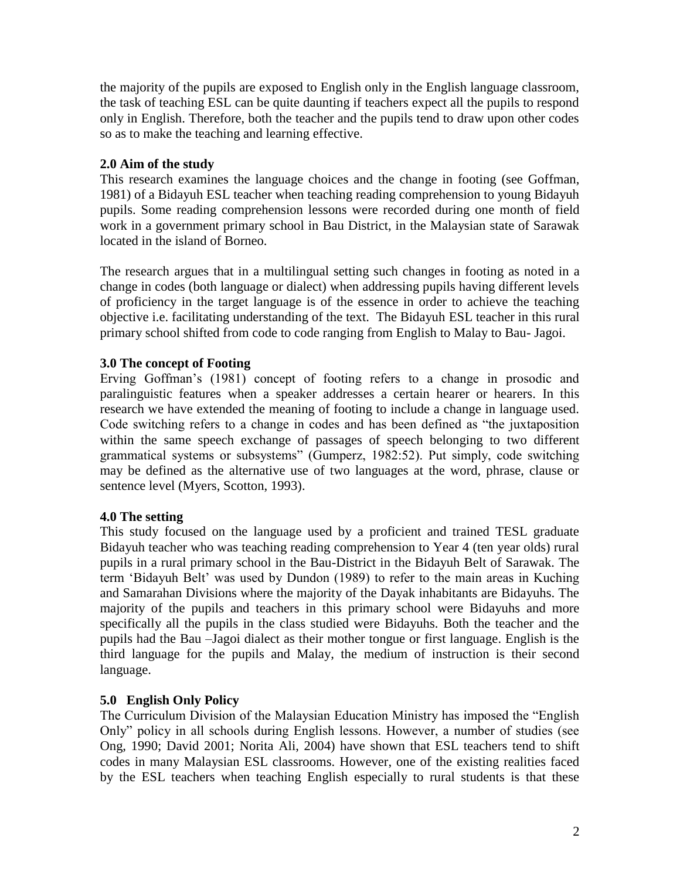the majority of the pupils are exposed to English only in the English language classroom, the task of teaching ESL can be quite daunting if teachers expect all the pupils to respond only in English. Therefore, both the teacher and the pupils tend to draw upon other codes so as to make the teaching and learning effective.

### **2.0 Aim of the study**

This research examines the language choices and the change in footing (see Goffman, 1981) of a Bidayuh ESL teacher when teaching reading comprehension to young Bidayuh pupils. Some reading comprehension lessons were recorded during one month of field work in a government primary school in Bau District, in the Malaysian state of Sarawak located in the island of Borneo.

The research argues that in a multilingual setting such changes in footing as noted in a change in codes (both language or dialect) when addressing pupils having different levels of proficiency in the target language is of the essence in order to achieve the teaching objective i.e. facilitating understanding of the text. The Bidayuh ESL teacher in this rural primary school shifted from code to code ranging from English to Malay to Bau- Jagoi.

# **3.0 The concept of Footing**

Erving Goffman's (1981) concept of footing refers to a change in prosodic and paralinguistic features when a speaker addresses a certain hearer or hearers. In this research we have extended the meaning of footing to include a change in language used. Code switching refers to a change in codes and has been defined as "the juxtaposition within the same speech exchange of passages of speech belonging to two different grammatical systems or subsystems" (Gumperz, 1982:52). Put simply, code switching may be defined as the alternative use of two languages at the word, phrase, clause or sentence level (Myers, Scotton, 1993).

# **4.0 The setting**

This study focused on the language used by a proficient and trained TESL graduate Bidayuh teacher who was teaching reading comprehension to Year 4 (ten year olds) rural pupils in a rural primary school in the Bau-District in the Bidayuh Belt of Sarawak. The term 'Bidayuh Belt' was used by Dundon (1989) to refer to the main areas in Kuching and Samarahan Divisions where the majority of the Dayak inhabitants are Bidayuhs. The majority of the pupils and teachers in this primary school were Bidayuhs and more specifically all the pupils in the class studied were Bidayuhs. Both the teacher and the pupils had the Bau –Jagoi dialect as their mother tongue or first language. English is the third language for the pupils and Malay, the medium of instruction is their second language.

#### **5.0 English Only Policy**

The Curriculum Division of the Malaysian Education Ministry has imposed the "English Only" policy in all schools during English lessons. However, a number of studies (see Ong, 1990; David 2001; Norita Ali, 2004) have shown that ESL teachers tend to shift codes in many Malaysian ESL classrooms. However, one of the existing realities faced by the ESL teachers when teaching English especially to rural students is that these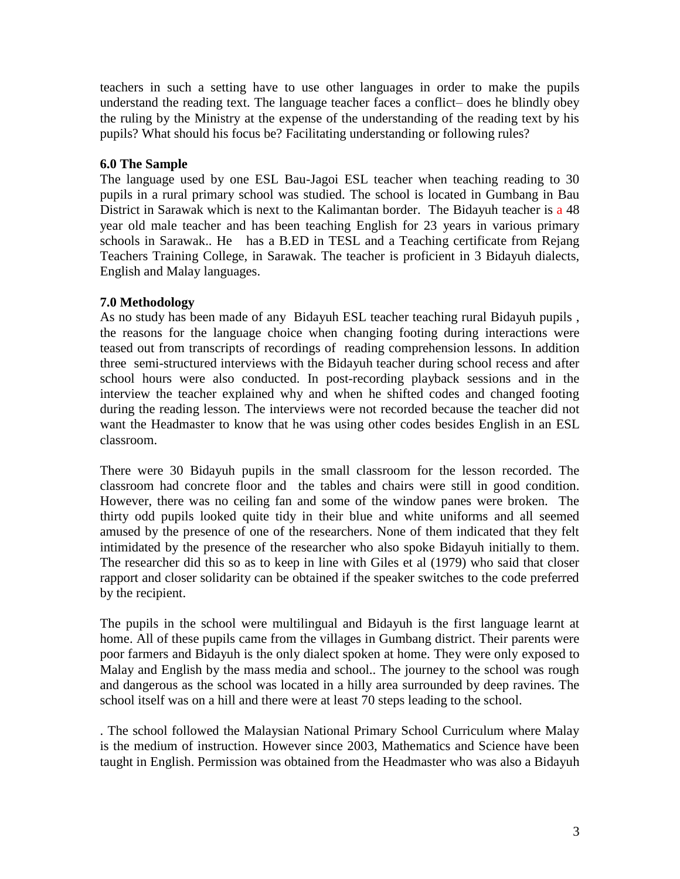teachers in such a setting have to use other languages in order to make the pupils understand the reading text. The language teacher faces a conflict– does he blindly obey the ruling by the Ministry at the expense of the understanding of the reading text by his pupils? What should his focus be? Facilitating understanding or following rules?

### **6.0 The Sample**

The language used by one ESL Bau-Jagoi ESL teacher when teaching reading to 30 pupils in a rural primary school was studied. The school is located in Gumbang in Bau District in Sarawak which is next to the Kalimantan border. The Bidayuh teacher is a 48 year old male teacher and has been teaching English for 23 years in various primary schools in Sarawak.. He has a B.ED in TESL and a Teaching certificate from Rejang Teachers Training College, in Sarawak. The teacher is proficient in 3 Bidayuh dialects, English and Malay languages.

# **7.0 Methodology**

As no study has been made of any Bidayuh ESL teacher teaching rural Bidayuh pupils , the reasons for the language choice when changing footing during interactions were teased out from transcripts of recordings of reading comprehension lessons. In addition three semi-structured interviews with the Bidayuh teacher during school recess and after school hours were also conducted. In post-recording playback sessions and in the interview the teacher explained why and when he shifted codes and changed footing during the reading lesson. The interviews were not recorded because the teacher did not want the Headmaster to know that he was using other codes besides English in an ESL classroom.

There were 30 Bidayuh pupils in the small classroom for the lesson recorded. The classroom had concrete floor and the tables and chairs were still in good condition. However, there was no ceiling fan and some of the window panes were broken. The thirty odd pupils looked quite tidy in their blue and white uniforms and all seemed amused by the presence of one of the researchers. None of them indicated that they felt intimidated by the presence of the researcher who also spoke Bidayuh initially to them. The researcher did this so as to keep in line with Giles et al (1979) who said that closer rapport and closer solidarity can be obtained if the speaker switches to the code preferred by the recipient.

The pupils in the school were multilingual and Bidayuh is the first language learnt at home. All of these pupils came from the villages in Gumbang district. Their parents were poor farmers and Bidayuh is the only dialect spoken at home. They were only exposed to Malay and English by the mass media and school.. The journey to the school was rough and dangerous as the school was located in a hilly area surrounded by deep ravines. The school itself was on a hill and there were at least 70 steps leading to the school.

. The school followed the Malaysian National Primary School Curriculum where Malay is the medium of instruction. However since 2003, Mathematics and Science have been taught in English. Permission was obtained from the Headmaster who was also a Bidayuh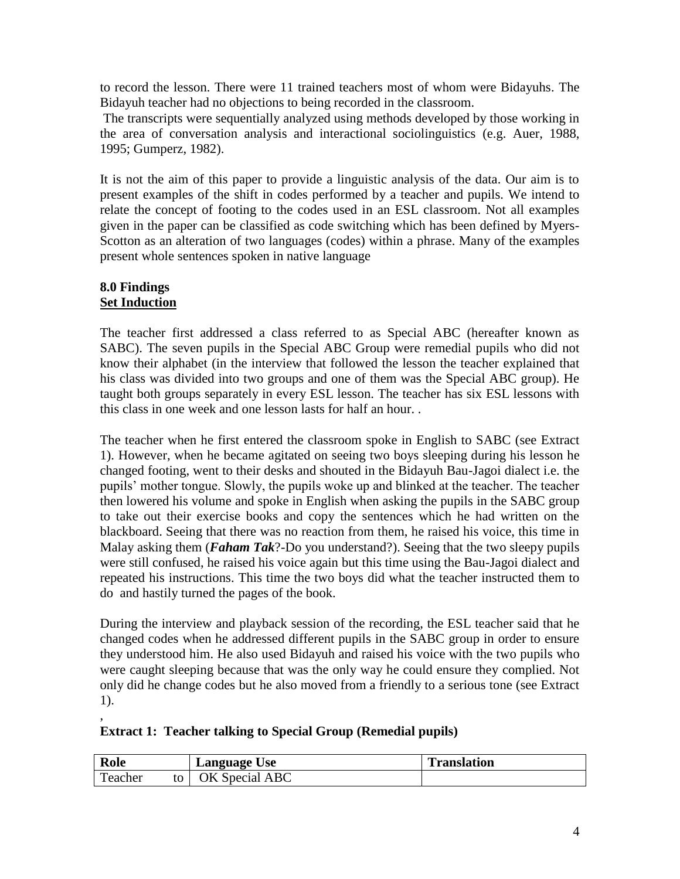to record the lesson. There were 11 trained teachers most of whom were Bidayuhs. The Bidayuh teacher had no objections to being recorded in the classroom.

The transcripts were sequentially analyzed using methods developed by those working in the area of conversation analysis and interactional sociolinguistics (e.g. Auer, 1988, 1995; Gumperz, 1982).

It is not the aim of this paper to provide a linguistic analysis of the data. Our aim is to present examples of the shift in codes performed by a teacher and pupils. We intend to relate the concept of footing to the codes used in an ESL classroom. Not all examples given in the paper can be classified as code switching which has been defined by Myers-Scotton as an alteration of two languages (codes) within a phrase. Many of the examples present whole sentences spoken in native language

### **8.0 Findings Set Induction**

,

The teacher first addressed a class referred to as Special ABC (hereafter known as SABC). The seven pupils in the Special ABC Group were remedial pupils who did not know their alphabet (in the interview that followed the lesson the teacher explained that his class was divided into two groups and one of them was the Special ABC group). He taught both groups separately in every ESL lesson. The teacher has six ESL lessons with this class in one week and one lesson lasts for half an hour. .

The teacher when he first entered the classroom spoke in English to SABC (see Extract 1). However, when he became agitated on seeing two boys sleeping during his lesson he changed footing, went to their desks and shouted in the Bidayuh Bau-Jagoi dialect i.e. the pupils' mother tongue. Slowly, the pupils woke up and blinked at the teacher. The teacher then lowered his volume and spoke in English when asking the pupils in the SABC group to take out their exercise books and copy the sentences which he had written on the blackboard. Seeing that there was no reaction from them, he raised his voice, this time in Malay asking them (*Faham Tak*?-Do you understand?). Seeing that the two sleepy pupils were still confused, he raised his voice again but this time using the Bau-Jagoi dialect and repeated his instructions. This time the two boys did what the teacher instructed them to do and hastily turned the pages of the book.

During the interview and playback session of the recording, the ESL teacher said that he changed codes when he addressed different pupils in the SABC group in order to ensure they understood him. He also used Bidayuh and raised his voice with the two pupils who were caught sleeping because that was the only way he could ensure they complied. Not only did he change codes but he also moved from a friendly to a serious tone (see Extract 1).

# **Extract 1: Teacher talking to Special Group (Remedial pupils)**

| Role    | Language Use   | <b>Translation</b> |
|---------|----------------|--------------------|
| Teacher | OK Special ABC |                    |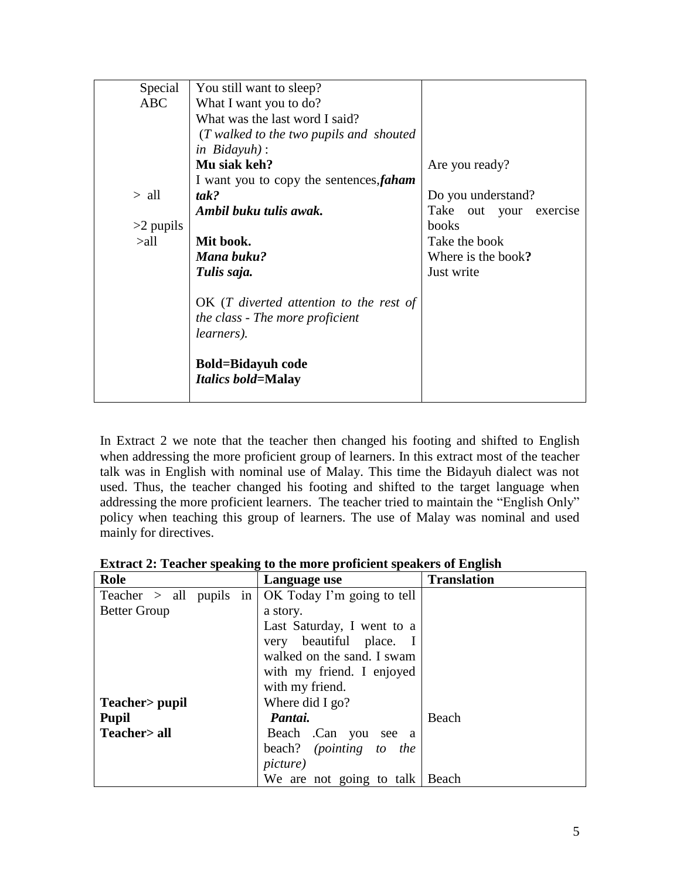| Special     | You still want to sleep?                                                                           |                           |
|-------------|----------------------------------------------------------------------------------------------------|---------------------------|
| ABC         | What I want you to do?                                                                             |                           |
|             | What was the last word I said?                                                                     |                           |
|             | (T walked to the two pupils and shouted                                                            |                           |
|             | in $Bidayuh$ :                                                                                     |                           |
|             | Mu siak keh?                                                                                       | Are you ready?            |
|             | I want you to copy the sentences, faham                                                            |                           |
| $>$ all     | tak?                                                                                               | Do you understand?        |
|             | Ambil buku tulis awak.                                                                             | Take out your<br>exercise |
| $>2$ pupils |                                                                                                    | books                     |
| >all        | Mit book.                                                                                          | Take the book             |
|             | Mana buku?                                                                                         | Where is the book?        |
|             | Tulis saja.                                                                                        | Just write                |
|             | $OK$ (T diverted attention to the rest of<br>the class - The more proficient<br><i>learners</i> ). |                           |
|             | <b>Bold=Bidayuh code</b><br><i>Italics bold=Malay</i>                                              |                           |

In Extract 2 we note that the teacher then changed his footing and shifted to English when addressing the more proficient group of learners. In this extract most of the teacher talk was in English with nominal use of Malay. This time the Bidayuh dialect was not used. Thus, the teacher changed his footing and shifted to the target language when addressing the more proficient learners. The teacher tried to maintain the "English Only" policy when teaching this group of learners. The use of Malay was nominal and used mainly for directives.

| Role                | Language use                                                 | <b>Translation</b> |
|---------------------|--------------------------------------------------------------|--------------------|
|                     | Teacher $>$ all pupils in $\vert$ OK Today I'm going to tell |                    |
| <b>Better Group</b> | a story.                                                     |                    |
|                     | Last Saturday, I went to a                                   |                    |
|                     | very beautiful place. I                                      |                    |
|                     | walked on the sand. I swam                                   |                    |
|                     | with my friend. I enjoyed                                    |                    |
|                     | with my friend.                                              |                    |
| Teacher > pupil     | Where did I go?                                              |                    |
| <b>Pupil</b>        | Pantai.                                                      | Beach              |
| Teacher> all        | Beach .Can you<br>see a                                      |                    |
|                     | beach? (pointing to the                                      |                    |
|                     | <i>picture</i> )                                             |                    |
|                     | We are not going to talk                                     | Beach              |

**Extract 2: Teacher speaking to the more proficient speakers of English**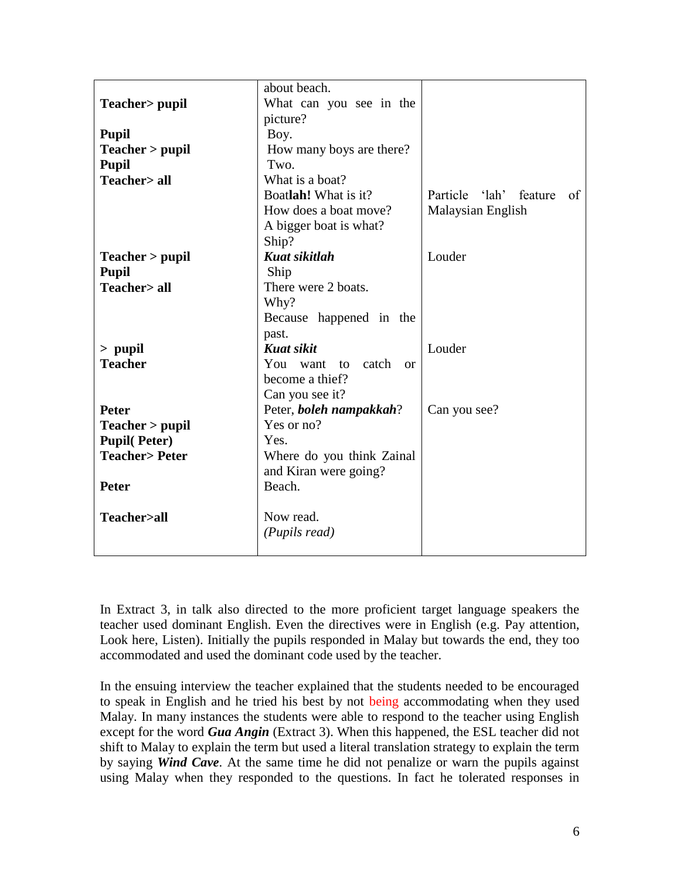|                                        | about beach.                  |                         |
|----------------------------------------|-------------------------------|-------------------------|
| Teacher > pupil                        | What can you see in the       |                         |
|                                        | picture?                      |                         |
| <b>Pupil</b>                           | Boy.                          |                         |
| Teacher > pupil                        | How many boys are there?      |                         |
|                                        | Two.                          |                         |
| <b>Pupil</b><br><b>Teacher&gt; all</b> | What is a boat?               |                         |
|                                        | Boatlah! What is it?          | feature                 |
|                                        |                               | Particle<br>'lah'<br>of |
|                                        | How does a boat move?         | Malaysian English       |
|                                        | A bigger boat is what?        |                         |
|                                        | Ship?                         |                         |
| Teacher > pupil                        | <b>Kuat sikitlah</b>          | Louder                  |
| <b>Pupil</b>                           | Ship                          |                         |
| <b>Teacher&gt; all</b>                 | There were 2 boats.           |                         |
|                                        | Why?                          |                         |
|                                        | Because happened in the       |                         |
|                                        | past.                         |                         |
| $>$ pupil                              | <b>Kuat sikit</b>             | Louder                  |
| <b>Teacher</b>                         | You want to catch<br>$\alpha$ |                         |
|                                        | become a thief?               |                         |
|                                        | Can you see it?               |                         |
| <b>Peter</b>                           | Peter, boleh nampakkah?       | Can you see?            |
| Teacher > pupil                        | Yes or no?                    |                         |
| <b>Pupil(Peter)</b>                    | Yes.                          |                         |
| <b>Teacher&gt;Peter</b>                | Where do you think Zainal     |                         |
|                                        | and Kiran were going?         |                         |
| <b>Peter</b>                           | Beach.                        |                         |
|                                        |                               |                         |
| Teacher>all                            | Now read.                     |                         |
|                                        |                               |                         |
|                                        | (Pupils read)                 |                         |
|                                        |                               |                         |

In Extract 3, in talk also directed to the more proficient target language speakers the teacher used dominant English. Even the directives were in English (e.g. Pay attention, Look here, Listen). Initially the pupils responded in Malay but towards the end, they too accommodated and used the dominant code used by the teacher.

In the ensuing interview the teacher explained that the students needed to be encouraged to speak in English and he tried his best by not being accommodating when they used Malay. In many instances the students were able to respond to the teacher using English except for the word *Gua Angin* (Extract 3). When this happened, the ESL teacher did not shift to Malay to explain the term but used a literal translation strategy to explain the term by saying *Wind Cave*. At the same time he did not penalize or warn the pupils against using Malay when they responded to the questions. In fact he tolerated responses in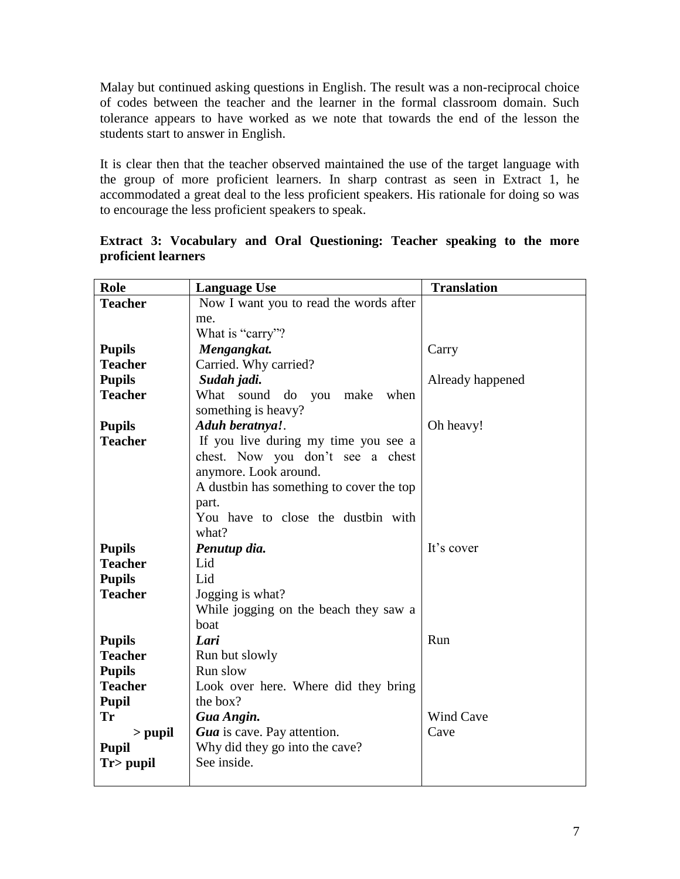Malay but continued asking questions in English. The result was a non-reciprocal choice of codes between the teacher and the learner in the formal classroom domain. Such tolerance appears to have worked as we note that towards the end of the lesson the students start to answer in English.

It is clear then that the teacher observed maintained the use of the target language with the group of more proficient learners. In sharp contrast as seen in Extract 1, he accommodated a great deal to the less proficient speakers. His rationale for doing so was to encourage the less proficient speakers to speak.

| Role           | <b>Language Use</b>                      | <b>Translation</b> |
|----------------|------------------------------------------|--------------------|
| <b>Teacher</b> | Now I want you to read the words after   |                    |
|                | me.                                      |                    |
|                | What is "carry"?                         |                    |
| <b>Pupils</b>  | Mengangkat.                              | Carry              |
| <b>Teacher</b> | Carried. Why carried?                    |                    |
| <b>Pupils</b>  | Sudah jadi.                              | Already happened   |
| <b>Teacher</b> | What sound<br>do you<br>when<br>make     |                    |
|                | something is heavy?                      |                    |
| <b>Pupils</b>  | Aduh beratnya!.                          | Oh heavy!          |
| <b>Teacher</b> | If you live during my time you see a     |                    |
|                | chest. Now you don't see a chest         |                    |
|                | anymore. Look around.                    |                    |
|                | A dustbin has something to cover the top |                    |
|                | part.                                    |                    |
|                | You have to close the dustbin with       |                    |
|                | what?                                    |                    |
| <b>Pupils</b>  | Penutup dia.                             | It's cover         |
| <b>Teacher</b> | Lid                                      |                    |
| <b>Pupils</b>  | Lid                                      |                    |
| <b>Teacher</b> | Jogging is what?                         |                    |
|                | While jogging on the beach they saw a    |                    |
|                | boat                                     |                    |
| <b>Pupils</b>  | Lari                                     | Run                |
| <b>Teacher</b> | Run but slowly                           |                    |
| <b>Pupils</b>  | Run slow                                 |                    |
| <b>Teacher</b> | Look over here. Where did they bring     |                    |
| <b>Pupil</b>   | the box?                                 |                    |
| Tr             | Gua Angin.                               | <b>Wind Cave</b>   |
| $>$ pupil      | Gua is cave. Pay attention.              | Cave               |
| <b>Pupil</b>   | Why did they go into the cave?           |                    |
| Tr> pupil      | See inside.                              |                    |
|                |                                          |                    |

**Extract 3: Vocabulary and Oral Questioning: Teacher speaking to the more proficient learners**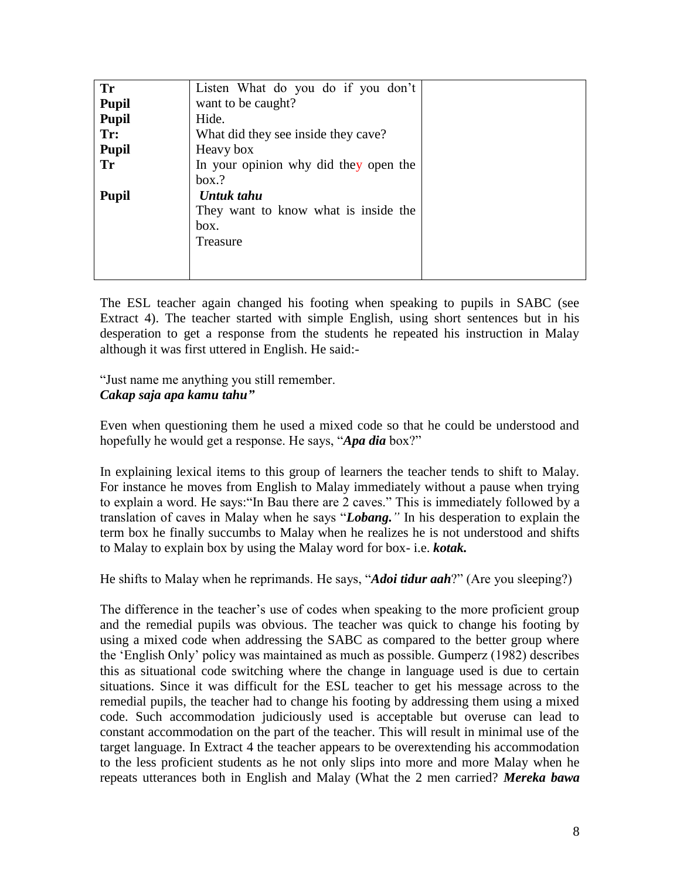| <b>Tr</b>    | Listen What do you do if you don't    |  |
|--------------|---------------------------------------|--|
| <b>Pupil</b> | want to be caught?                    |  |
| <b>Pupil</b> | Hide.                                 |  |
| Tr:          | What did they see inside they cave?   |  |
| <b>Pupil</b> | Heavy box                             |  |
| Tr           | In your opinion why did they open the |  |
|              | box.?                                 |  |
| <b>Pupil</b> | Untuk tahu                            |  |
|              | They want to know what is inside the  |  |
|              | box.                                  |  |
|              | Treasure                              |  |
|              |                                       |  |
|              |                                       |  |

The ESL teacher again changed his footing when speaking to pupils in SABC (see Extract 4). The teacher started with simple English, using short sentences but in his desperation to get a response from the students he repeated his instruction in Malay although it was first uttered in English. He said:-

"Just name me anything you still remember. *Cakap saja apa kamu tahu"*

Even when questioning them he used a mixed code so that he could be understood and hopefully he would get a response. He says, "*Apa dia* box?"

In explaining lexical items to this group of learners the teacher tends to shift to Malay. For instance he moves from English to Malay immediately without a pause when trying to explain a word. He says:"In Bau there are 2 caves." This is immediately followed by a translation of caves in Malay when he says "*Lobang."* In his desperation to explain the term box he finally succumbs to Malay when he realizes he is not understood and shifts to Malay to explain box by using the Malay word for box- i.e. *kotak.*

He shifts to Malay when he reprimands. He says, "*Adoi tidur aah*?" (Are you sleeping?)

The difference in the teacher's use of codes when speaking to the more proficient group and the remedial pupils was obvious. The teacher was quick to change his footing by using a mixed code when addressing the SABC as compared to the better group where the 'English Only' policy was maintained as much as possible. Gumperz (1982) describes this as situational code switching where the change in language used is due to certain situations. Since it was difficult for the ESL teacher to get his message across to the remedial pupils, the teacher had to change his footing by addressing them using a mixed code. Such accommodation judiciously used is acceptable but overuse can lead to constant accommodation on the part of the teacher. This will result in minimal use of the target language. In Extract 4 the teacher appears to be overextending his accommodation to the less proficient students as he not only slips into more and more Malay when he repeats utterances both in English and Malay (What the 2 men carried? *Mereka bawa*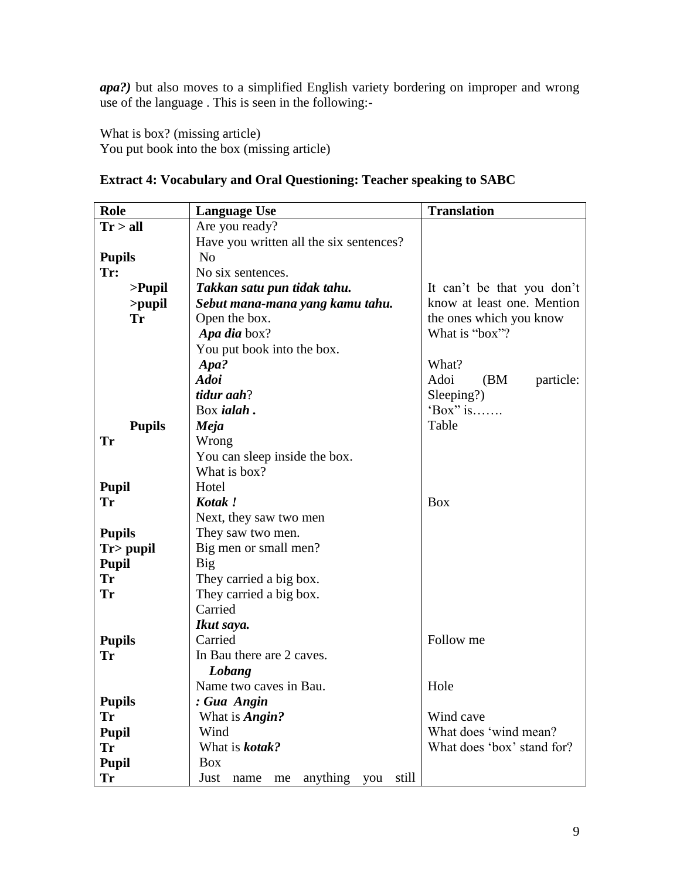*apa?)* but also moves to a simplified English variety bordering on improper and wrong use of the language . This is seen in the following:-

What is box? (missing article) You put book into the box (missing article)

| Role          | <b>Language Use</b>                      | <b>Translation</b>         |
|---------------|------------------------------------------|----------------------------|
| Tr > all      | Are you ready?                           |                            |
|               | Have you written all the six sentences?  |                            |
| <b>Pupils</b> | N <sub>o</sub>                           |                            |
| Tr:           | No six sentences.                        |                            |
| $>$ Pupil     | Takkan satu pun tidak tahu.              | It can't be that you don't |
| >pupil        | Sebut mana-mana yang kamu tahu.          | know at least one. Mention |
| <b>Tr</b>     | Open the box.                            | the ones which you know    |
|               | Apa dia box?                             | What is "box"?             |
|               | You put book into the box.               |                            |
|               | Apa?                                     | What?                      |
|               | <b>Adoi</b>                              | Adoi<br>(BM)<br>particle:  |
|               | tidur aah?                               | Sleeping?)                 |
|               | Box <i>ialah</i> .                       | 'Box" is                   |
| <b>Pupils</b> | Meja                                     | Table                      |
| <b>Tr</b>     | Wrong                                    |                            |
|               | You can sleep inside the box.            |                            |
|               | What is box?                             |                            |
| <b>Pupil</b>  | Hotel                                    |                            |
| <b>Tr</b>     | Kotak!                                   | <b>Box</b>                 |
|               | Next, they saw two men                   |                            |
| <b>Pupils</b> | They saw two men.                        |                            |
| $Tr$ pupil    | Big men or small men?                    |                            |
| <b>Pupil</b>  | <b>Big</b>                               |                            |
| <b>Tr</b>     | They carried a big box.                  |                            |
| Tr            | They carried a big box.                  |                            |
|               | Carried                                  |                            |
|               | Ikut saya.                               |                            |
| <b>Pupils</b> | Carried                                  | Follow me                  |
| <b>Tr</b>     | In Bau there are 2 caves.                |                            |
|               | Lobang                                   |                            |
|               | Name two caves in Bau.                   | Hole                       |
| <b>Pupils</b> | : Gua Angin                              |                            |
| <b>Tr</b>     | What is <b>Angin?</b>                    | Wind cave                  |
| <b>Pupil</b>  | Wind                                     | What does 'wind mean?      |
| <b>Tr</b>     | What is <b>kotak?</b>                    | What does 'box' stand for? |
| <b>Pupil</b>  | <b>Box</b>                               |                            |
| Tr            | anything you still<br>Just<br>me<br>name |                            |

# **Extract 4: Vocabulary and Oral Questioning: Teacher speaking to SABC**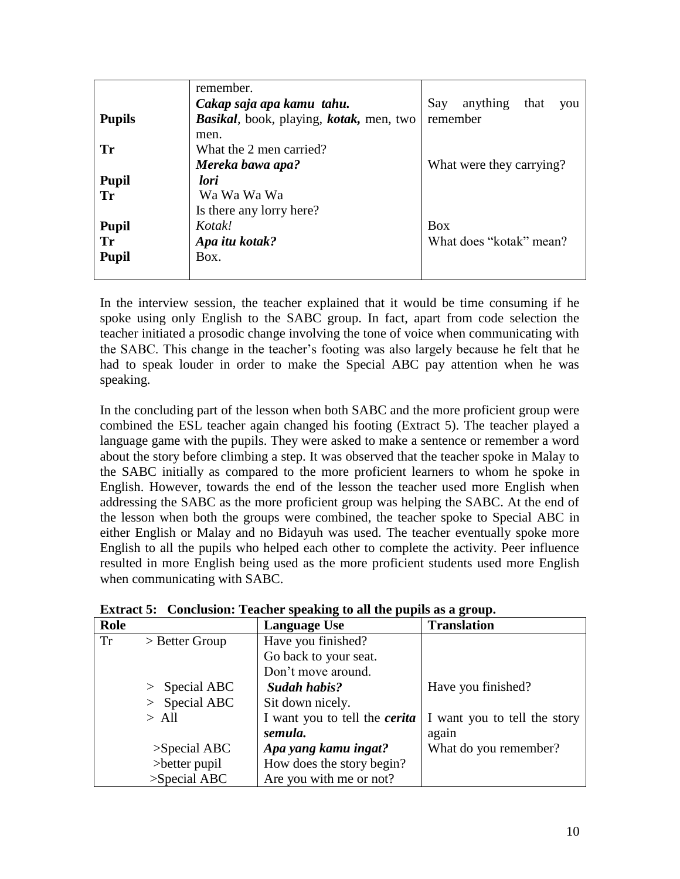|               | remember.                               |                                |
|---------------|-----------------------------------------|--------------------------------|
|               | Cakap saja apa kamu tahu.               | anything<br>Say<br>that<br>you |
| <b>Pupils</b> | Basikal, book, playing, kotak, men, two | remember                       |
|               | men.                                    |                                |
| Tr            | What the 2 men carried?                 |                                |
|               | Mereka bawa apa?                        | What were they carrying?       |
| <b>Pupil</b>  | lori                                    |                                |
| Tr            | Wa Wa Wa Wa                             |                                |
|               | Is there any lorry here?                |                                |
| <b>Pupil</b>  | Kotak!                                  | <b>Box</b>                     |
| Tr            | Apa itu kotak?                          | What does "kotak" mean?        |
| <b>Pupil</b>  | Box.                                    |                                |
|               |                                         |                                |

In the interview session, the teacher explained that it would be time consuming if he spoke using only English to the SABC group. In fact, apart from code selection the teacher initiated a prosodic change involving the tone of voice when communicating with the SABC. This change in the teacher's footing was also largely because he felt that he had to speak louder in order to make the Special ABC pay attention when he was speaking.

In the concluding part of the lesson when both SABC and the more proficient group were combined the ESL teacher again changed his footing (Extract 5). The teacher played a language game with the pupils. They were asked to make a sentence or remember a word about the story before climbing a step. It was observed that the teacher spoke in Malay to the SABC initially as compared to the more proficient learners to whom he spoke in English. However, towards the end of the lesson the teacher used more English when addressing the SABC as the more proficient group was helping the SABC. At the end of the lesson when both the groups were combined, the teacher spoke to Special ABC in either English or Malay and no Bidayuh was used. The teacher eventually spoke more English to all the pupils who helped each other to complete the activity. Peer influence resulted in more English being used as the more proficient students used more English when communicating with SABC.

| Role |                  | <b>Language Use</b>                  | <b>Translation</b>           |
|------|------------------|--------------------------------------|------------------------------|
| Tr   | $>$ Better Group | Have you finished?                   |                              |
|      |                  | Go back to your seat.                |                              |
|      |                  | Don't move around.                   |                              |
|      | $>$ Special ABC  | Sudah habis?                         | Have you finished?           |
|      | $>$ Special ABC  | Sit down nicely.                     |                              |
|      | $>$ All          | I want you to tell the <i>cerita</i> | I want you to tell the story |
|      |                  | semula.                              | again                        |
|      | $>$ Special ABC  | Apa yang kamu ingat?                 | What do you remember?        |
|      | $>$ better pupil | How does the story begin?            |                              |
|      | $>$ Special ABC  | Are you with me or not?              |                              |

| Extract 5: Conclusion: Teacher speaking to all the pupils as a group. |  |  |  |
|-----------------------------------------------------------------------|--|--|--|
|                                                                       |  |  |  |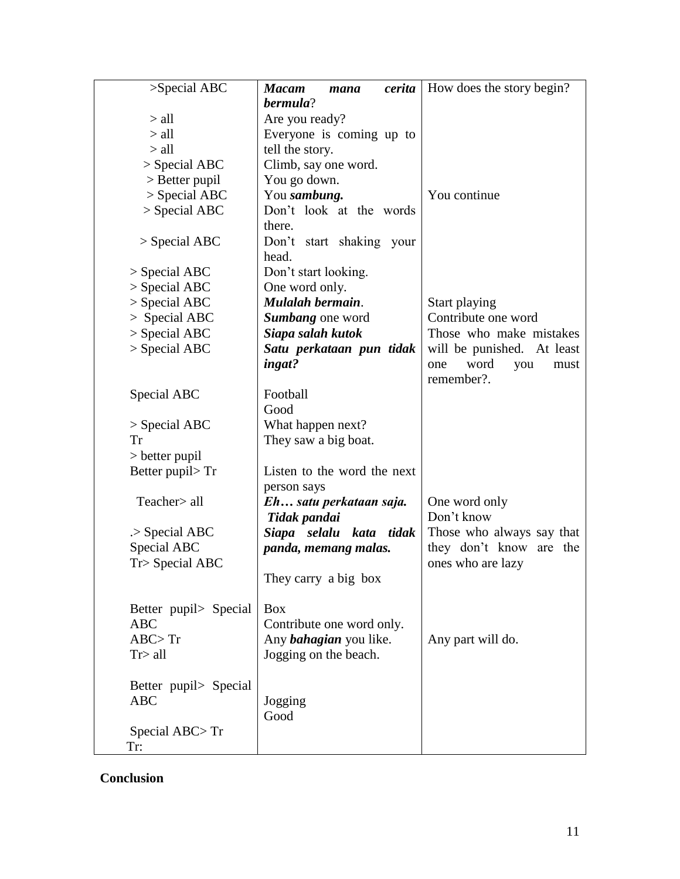| >Special ABC          | <b>Macam</b><br>mana          | <i>cerita</i>   How does the story begin? |
|-----------------------|-------------------------------|-------------------------------------------|
|                       | bermula?                      |                                           |
| $>$ all               | Are you ready?                |                                           |
| $>$ all               | Everyone is coming up to      |                                           |
| $>$ all               | tell the story.               |                                           |
| $>$ Special ABC       | Climb, say one word.          |                                           |
| $>$ Better pupil      | You go down.                  |                                           |
| $>$ Special ABC       | You sambung.                  | You continue                              |
| $>$ Special ABC       | Don't look at the words       |                                           |
|                       | there.                        |                                           |
| $>$ Special ABC       | Don't start shaking your      |                                           |
|                       | head.                         |                                           |
| $>$ Special ABC       | Don't start looking.          |                                           |
| $>$ Special ABC       | One word only.                |                                           |
| $>$ Special ABC       | Mulalah bermain.              | Start playing                             |
| $>$ Special ABC       | Sumbang one word              | Contribute one word                       |
| $>$ Special ABC       | Siapa salah kutok             | Those who make mistakes                   |
| $>$ Special ABC       | Satu perkataan pun tidak      | will be punished. At least                |
|                       | ingat?                        | word<br>you<br>one<br>must                |
|                       |                               | remember?.                                |
| Special ABC           | Football                      |                                           |
|                       | Good                          |                                           |
| $>$ Special ABC       | What happen next?             |                                           |
| Tr                    | They saw a big boat.          |                                           |
| $>$ better pupil      |                               |                                           |
| Better pupil>Tr       | Listen to the word the next   |                                           |
|                       | person says                   |                                           |
| Teacher> all          | Eh satu perkataan saja.       | One word only                             |
|                       | Tidak pandai                  | Don't know                                |
| $>$ Special ABC       | Siapa selalu kata tidak       | Those who always say that                 |
| Special ABC           | panda, memang malas.          | they don't know are the                   |
| Tr> Special ABC       |                               | ones who are lazy                         |
|                       | They carry a big box          |                                           |
|                       |                               |                                           |
| Better pupil> Special | <b>Box</b>                    |                                           |
| <b>ABC</b>            | Contribute one word only.     |                                           |
| ABC > Tr              | Any <i>bahagian</i> you like. | Any part will do.                         |
| Tr > all              | Jogging on the beach.         |                                           |
|                       |                               |                                           |
| Better pupil> Special |                               |                                           |
| <b>ABC</b>            | Jogging                       |                                           |
|                       | Good                          |                                           |
| Special $ABC > Tr$    |                               |                                           |
| Tr:                   |                               |                                           |

# **Conclusion**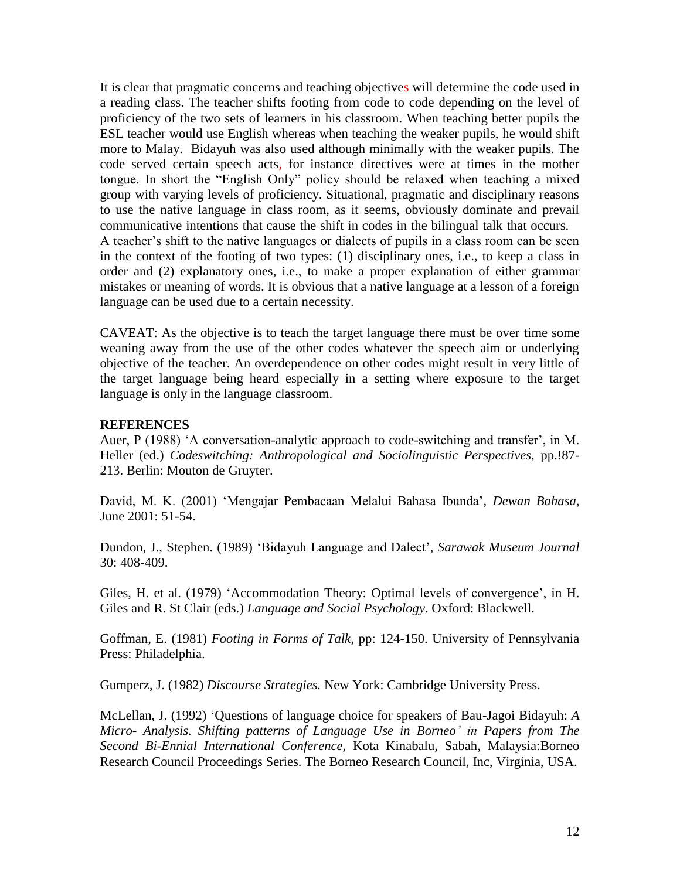It is clear that pragmatic concerns and teaching objectives will determine the code used in a reading class. The teacher shifts footing from code to code depending on the level of proficiency of the two sets of learners in his classroom. When teaching better pupils the ESL teacher would use English whereas when teaching the weaker pupils, he would shift more to Malay. Bidayuh was also used although minimally with the weaker pupils. The code served certain speech acts, for instance directives were at times in the mother tongue. In short the "English Only" policy should be relaxed when teaching a mixed group with varying levels of proficiency. Situational, pragmatic and disciplinary reasons to use the native language in class room, as it seems, obviously dominate and prevail communicative intentions that cause the shift in codes in the bilingual talk that occurs. A teacher's shift to the native languages or dialects of pupils in a class room can be seen in the context of the footing of two types: (1) disciplinary ones, i.e., to keep a class in order and (2) explanatory ones, i.e., to make a proper explanation of either grammar mistakes or meaning of words. It is obvious that a native language at a lesson of a foreign language can be used due to a certain necessity.

CAVEAT: As the objective is to teach the target language there must be over time some weaning away from the use of the other codes whatever the speech aim or underlying objective of the teacher. An overdependence on other codes might result in very little of the target language being heard especially in a setting where exposure to the target language is only in the language classroom.

#### **REFERENCES**

Auer, P (1988) 'A conversation-analytic approach to code-switching and transfer', in M. Heller (ed.) *Codeswitching: Anthropological and Sociolinguistic Perspectives,* pp.!87- 213. Berlin: Mouton de Gruyter.

David, M. K. (2001) 'Mengajar Pembacaan Melalui Bahasa Ibunda'*, Dewan Bahasa*, June 2001: 51-54.

Dundon, J., Stephen. (1989) 'Bidayuh Language and Dalect', *Sarawak Museum Journal* 30: 408-409.

Giles, H. et al. (1979) 'Accommodation Theory: Optimal levels of convergence', in H. Giles and R. St Clair (eds.) *Language and Social Psychology*. Oxford: Blackwell.

Goffman, E. (1981) *Footing in Forms of Talk*, pp: 124-150. University of Pennsylvania Press: Philadelphia.

Gumperz, J. (1982) *Discourse Strategies.* New York: Cambridge University Press.

McLellan, J. (1992) 'Questions of language choice for speakers of Bau-Jagoi Bidayuh: *A Micro- Analysis. Shifting patterns of Language Use in Borneo' in Papers from The Second Bi-Ennial International Conference,* Kota Kinabalu, Sabah, Malaysia:Borneo Research Council Proceedings Series. The Borneo Research Council, Inc, Virginia, USA.